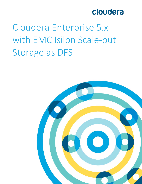

# Cloudera Enterprise 5.x with EMC Isilon Scale-out **Storage as DFS**

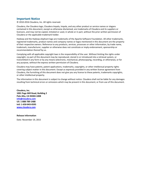### **Important Notice**

© 2010-2016 Cloudera, Inc. All rights reserved.

Cloudera, the Cloudera logo, Cloudera Impala, Impala, and any other product or service names or slogans contained in this document, except as otherwise disclaimed, are trademarks of Cloudera and its suppliers or licensors, and may not be copied, imitated or used, in whole or in part, without the prior written permission of Cloudera or the applicable trademark holder.

Hadoop and the Hadoop elephant logo are trademarks of the Apache Software Foundation. All other trademarks, registered trademarks, product names and company names or logos mentioned in this document are the property of their respective owners. Reference to any products, services, processes or other information, by trade name, trademark, manufacturer, supplier or otherwise does not constitute or imply endorsement, sponsorship or recommendation thereof by us.

Complying with all applicable copyright laws is the responsibility of the user. Without limiting the rights under copyright, no part of this document may be reproduced, stored in or introduced into a retrieval system, or transmitted in any form or by any means (electronic, mechanical, photocopying, recording, or otherwise), or for any purpose, without the express written permission of Cloudera.

Cloudera may have patents, patent applications, trademarks, copyrights, or other intellectual property rights covering subject matter in this document. Except as expressly provided in any written license agreement from Cloudera, the furnishing of this document does not give you any license to these patents, trademarks copyrights, or other intellectual property.

The information in this document is subject to change without notice. Cloudera shall not be liable for any damages resulting from technical errors or omissions which may be present in this document, or from use of this document.

**Cloudera, Inc. 1001 Page Mill Road, Building 2 Palo Alto, CA 94304-1008 [info@cloudera.com](mailto:info@cloudera.com) US: 1-888-789-1488 Intl: 1-650-843-0595 [www.cloudera.com](http://www.cloudera.com/)**

**Release Information**

Date: November 19, 2015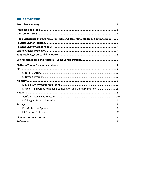# **Table of Contents**

| Isilon Distributed Storage Array for HDFS and Bare-Metal Nodes as Compute Nodes 2 |  |
|-----------------------------------------------------------------------------------|--|
|                                                                                   |  |
|                                                                                   |  |
|                                                                                   |  |
|                                                                                   |  |
|                                                                                   |  |
|                                                                                   |  |
|                                                                                   |  |
|                                                                                   |  |
|                                                                                   |  |
|                                                                                   |  |
|                                                                                   |  |
| Disable Transparent Hugepage Compaction and Defragmentation 8                     |  |
|                                                                                   |  |
|                                                                                   |  |
|                                                                                   |  |
|                                                                                   |  |
|                                                                                   |  |
|                                                                                   |  |
|                                                                                   |  |
|                                                                                   |  |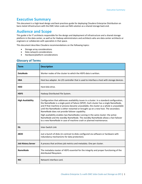# <span id="page-3-0"></span>**Executive Summary**

This document is a high-level design and best-practices guide for deploying Cloudera Enterprise Distribution on bare-metal infrastructure with the EMC Isilon scale-out NAS solution as a shared storage back end.

# <span id="page-3-1"></span>**Audience and Scope**

This guide is for IT architects responsible for the design and deployment of infrastructure and a shared storage platform in the data center, as well as for Hadoop administrators and architects who are data center architects or engineers or collaborate with specialists in that space.

This document describes Cloudera recommendations on the following topics:

- Storage array considerations
- Data network considerations
- Hardware/platform considerations

## <span id="page-3-2"></span>**Glossary of Terms**

| <b>Term</b>               | <b>Description</b>                                                                                                                                                                                                                                                                                                                                                                                                                                                                                                                                                                                                                                                 |
|---------------------------|--------------------------------------------------------------------------------------------------------------------------------------------------------------------------------------------------------------------------------------------------------------------------------------------------------------------------------------------------------------------------------------------------------------------------------------------------------------------------------------------------------------------------------------------------------------------------------------------------------------------------------------------------------------------|
| <b>DataNode</b>           | Worker nodes of the cluster to which the HDFS data is written.                                                                                                                                                                                                                                                                                                                                                                                                                                                                                                                                                                                                     |
| <b>HBA</b>                | Host bus adapter. An I/O controller that is used to interface a host with storage devices.                                                                                                                                                                                                                                                                                                                                                                                                                                                                                                                                                                         |
| <b>HDD</b>                | Hard disk drive.                                                                                                                                                                                                                                                                                                                                                                                                                                                                                                                                                                                                                                                   |
| <b>HDFS</b>               | Hadoop Distributed File System.                                                                                                                                                                                                                                                                                                                                                                                                                                                                                                                                                                                                                                    |
| <b>High Availability</b>  | Configuration that addresses availability issues in a cluster. In a standard configuration,<br>the NameNode is a single point of failure (SPOF). Each cluster has a single NameNode,<br>and if that machine or process became unavailable, the cluster as a whole is unavailable<br>until the NameNode is either restarted or brought up on a new host. The secondary<br>NameNode does not provide failover capability.<br>High availability enables two NameNodes running in the same cluster: the active<br>NameNode and the standby NameNode. The standby NameNode allows a fast failover<br>to a new NameNode in case of machine crash or planned maintenance. |
| <b>ISL</b>                | Inter-Switch Link                                                                                                                                                                                                                                                                                                                                                                                                                                                                                                                                                                                                                                                  |
| <b>JBOD</b>               | Just a bunch of disks (in contrast to disks configured via software or hardware with<br>redundancy mechanisms for data protection).                                                                                                                                                                                                                                                                                                                                                                                                                                                                                                                                |
| <b>Job History Server</b> | A process that archives job metrics and metadata. One per cluster.                                                                                                                                                                                                                                                                                                                                                                                                                                                                                                                                                                                                 |
| <b>NameNode</b>           | The metadata master of HDFS essential for the integrity and proper functioning of the<br>distributed filesystem.                                                                                                                                                                                                                                                                                                                                                                                                                                                                                                                                                   |
| <b>NIC</b>                | Network interface card.                                                                                                                                                                                                                                                                                                                                                                                                                                                                                                                                                                                                                                            |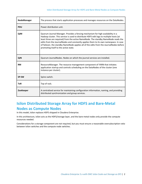| NodeManager | The process that starts application processes and manages resources on the DataNodes.                                                                                                                                                                                                                                                                                                                                                                                                         |
|-------------|-----------------------------------------------------------------------------------------------------------------------------------------------------------------------------------------------------------------------------------------------------------------------------------------------------------------------------------------------------------------------------------------------------------------------------------------------------------------------------------------------|
| <b>PDU</b>  | Power distribution unit.                                                                                                                                                                                                                                                                                                                                                                                                                                                                      |
| QJM         | Quorum Journal Manager. Provides a fencing mechanism for high availability in a<br>Hadoop cluster. This service is used to distribute HDFS edit logs to multiple hosts (at<br>least three are required) from the active NameNode. The standby NameNode reads the<br>edits from the JournalNodes and constantly applies them to its own namespace. In case<br>of failover, the standby NameNode applies all of the edits from the JournalNodes before<br>promoting itself to the active state. |
| <b>QJN</b>  | Quorum JournalNodes. Nodes on which the journal services are installed.                                                                                                                                                                                                                                                                                                                                                                                                                       |
| <b>RM</b>   | ResourceManager. The resource management component of YARN that initiates<br>application startup and controls scheduling on the DataNodes of the cluster (one<br>instance per cluster).                                                                                                                                                                                                                                                                                                       |
| SP-SW       | Spine switch.                                                                                                                                                                                                                                                                                                                                                                                                                                                                                 |
| <b>ToR</b>  | Top of rack.                                                                                                                                                                                                                                                                                                                                                                                                                                                                                  |
| ZooKeeper   | A centralized service for maintaining configuration information, naming, and providing<br>distributed synchronization and group services.                                                                                                                                                                                                                                                                                                                                                     |

# <span id="page-4-0"></span>**Isilon Distributed Storage Array for HDFS and Bare-Metal Nodes as Compute Nodes**

In this model, Isilon replaces HDFS shipped in Cloudera Enterprise.

In this architecture, Isilon acts as the HDFS/storage layer, and the bare-metal nodes only provide the compute resources needed.

Considerations for a storage component are not required, but you must ensure a reasonable oversubscription ratio between Isilon switches and the compute node switches.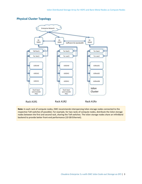## <span id="page-5-0"></span>**Physical Cluster Topology**



**Note:** In each rack of compute nodes, EMC recommends interspersing Isilon storage nodes connected to the respective ToR switches (if possible). For example, for two racks of compute nodes, distribute the Isilon storage nodes between the first and second rack, sharing the ToR switches. The Isilon storage nodes share an InfiniBand backend to provide better front-end performance (10 GB Ethernet).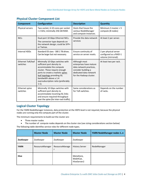| <b>Component</b>              | Configuration                                                                                                                                                                                                                                                             | <b>Description</b>                                                                                                                              | Quantity                                                              |  |
|-------------------------------|---------------------------------------------------------------------------------------------------------------------------------------------------------------------------------------------------------------------------------------------------------------------------|-------------------------------------------------------------------------------------------------------------------------------------------------|-----------------------------------------------------------------------|--|
| Physical servers              | Two-socket, 6-10 cores per socket<br>> 2 GHz; minimally 256 GB RAM.                                                                                                                                                                                                       | Hosts that house the<br>various NodeManager<br>and compute instances.                                                                           | Minimum $3$ master $+5$<br>compute (8 nodes)                          |  |
| <b>NICs</b>                   | Dual-port 10 Gbps Ethernet NICs.<br>The connector type depends on<br>the network design; could be SFP+<br>or Twinax.                                                                                                                                                      | Provide the data network<br>services                                                                                                            | At least 2 per server.                                                |  |
| <b>Internal HDDs</b>          | Standard OS sizes - 300 1 TB drives.<br>Can be larger but not necessary.                                                                                                                                                                                                  | Ensure continuity of<br>service on server resets.                                                                                               | 2 per physical server<br>configured as a RAID-1<br>volume (mirrored). |  |
| Ethernet ToR/leaf<br>switches | Minimally 10 Gbps switches with<br>sufficient port density to<br>accommodate the compute<br>cluster. These require enough<br>ports to create a realistic spine-<br>leaf topology providing ISL<br>bandwidth above a 1:4<br>oversubscription ratio (preferably<br>$1:1$ ). | Although most<br>enterprises have mature<br>data network practices,<br>consider building a<br>dedicated data network<br>for the Hadoop cluster. | At least two per rack.                                                |  |
| Ethernet spine<br>switches    | Minimally 10 Gbps switches with<br>sufficient port density to<br>accommodate incoming ISL links<br>and ensure required throughput<br>over the spine (for inter-rack traffic).                                                                                             | Same considerations as<br>for ToR switches.                                                                                                     | Depends on the number<br>of racks.                                    |  |

## <span id="page-6-0"></span>**Physical Cluster Component List**

## <span id="page-6-1"></span>**Logical Cluster Topology**

For the YARN NodeManager instances, data protection at the HDFS level is not required, because the physical nodes are running only the compute part of the cluster.

The minimum requirements to build out the cluster are:

- Three master nodes
- The number of compute nodes depends on the cluster size (see sizing considerations section below)

The following table identifies service roles for different node types.

|             | <b>Master Node</b> | <b>Master Node</b>    | <b>Master Node</b>                    | YARN NodeManager nodes 1n |
|-------------|--------------------|-----------------------|---------------------------------------|---------------------------|
| ZooKeeper   | ZooKeeper          | ZooKeeper             | ZooKeeper                             |                           |
| <b>YARN</b> | ResourceManager    | <b>ResourceManage</b> | <b>History Server</b>                 | NodeManager               |
| <b>Hive</b> |                    |                       | MetaStore,<br>WebHCat,<br>HiveServer2 |                           |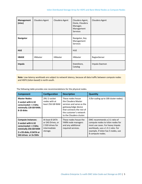| Management<br>(misc) | Cloudera Agent | Cloudera Agent | Cloudera Agent,<br>Oozie, Cloudera<br>Manager,<br>Management<br><b>Services</b> | Cloudera Agent |
|----------------------|----------------|----------------|---------------------------------------------------------------------------------|----------------|
| <b>Navigator</b>     |                |                | Navigator, Key<br>Management<br><b>Services</b>                                 |                |
| <b>HUE</b>           |                |                | <b>HUE</b>                                                                      |                |
| <b>HBASE</b>         | <b>HMaster</b> | <b>HMaster</b> | <b>HMaster</b>                                                                  | RegionServer   |
| Impala               |                |                | StateStore,<br>Catalog                                                          | Impala Daemon  |

**Note**: Low-latency workloads are subject to network latency, because all data traffic between compute nodes and HDFS (Isilon-based) is north-south.

The following table provides size recommendations for the physical nodes.

| <b>Component</b>                                                                                                                                            | Configuration                                                                        | <b>Description</b>                                                                                                                                                              | <b>Quantity</b>                                                                                                                                                                                        |
|-------------------------------------------------------------------------------------------------------------------------------------------------------------|--------------------------------------------------------------------------------------|---------------------------------------------------------------------------------------------------------------------------------------------------------------------------------|--------------------------------------------------------------------------------------------------------------------------------------------------------------------------------------------------------|
| <b>Master Nodes:</b><br>2-socket with 6-10<br>cores/socket > 2 GHz;<br>minimally 128 GB RAM;<br>8-10 disks                                                  | 2RU 2-socket<br>nodes with at<br>least 256 GB RAM                                    | These nodes house<br>the Cloudera Master<br>services and serve as the<br>gateway/edge device<br>that connects the rest of<br>the customer's network<br>to the Cloudera cluster. | 3 (for scaling up to 100 cluster nodes).                                                                                                                                                               |
| <b>Compute instances:</b><br>2-socket with 6-10<br>cores/socket > 2 GHz;<br>minimally 256 GB RAM<br>2 x OS disks, 8 SATA or<br><b>SAS drives or 2x SSDs</b> | At least 8 SATA<br>or SAS Drives, or<br>2 SSD drives for<br>intermediate<br>storage. | These nodes house the<br>YARN node managers<br>and any additional<br>required services.                                                                                         | EMC recommends a 2:1 ratio of<br>compute nodes to Isilon nodes for<br>most use cases. For heavy Impala<br>workloads, use a 1.5:1 ratio. For<br>example, if Isilon has 5 nodes, use<br>8 compute nodes. |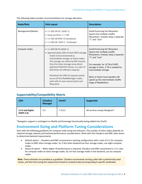| Node/Role         | <b>Disk Layout</b>                                                                                                                                                                                                                                                                                                                                                                                                                             | <b>Description</b>                                                                                                                                                                                                                                                                                                                |
|-------------------|------------------------------------------------------------------------------------------------------------------------------------------------------------------------------------------------------------------------------------------------------------------------------------------------------------------------------------------------------------------------------------------------------------------------------------------------|-----------------------------------------------------------------------------------------------------------------------------------------------------------------------------------------------------------------------------------------------------------------------------------------------------------------------------------|
| Management/Master | • 2 x 500 GB OS (RAID 1)<br>• Swap partition $\leq$ 2 GB<br>• 4 x 500 GB RAID 10 (database)<br>• 1 x 500 GB RAID 0 - ZooKeeper                                                                                                                                                                                                                                                                                                                 | Avoid fracturing the filesystem<br>layout into multiple smaller<br>filesystems. Instead, keep a separate<br>"/" and "/var".                                                                                                                                                                                                       |
| Compute nodes     | • 2 x 500 GB OS (RAID 1)<br>• Approximately 20% of total HDFS storage<br>needs to be provisioned as<br>intermediate storage on these nodes.<br>The storage can either be NFS mounts<br>from the Isilon storage array direct-<br>attached SAS/SATA drives, or a pair of<br>SSD drives of sufficient capacity.<br>Distribute the 20% of capacity evenly<br>across all the NodeManager nodes,<br>each with its own mount-point and<br>filesystem. | Avoid fracturing the filesystem<br>layout into multiple smaller<br>filesystems. Instead, keep a separate<br>"/" and "/var".<br>For example, for 10 TB of HDFS<br>storage in Isilon, 2 TB is needed for<br>intermediate storage.<br>More or faster local spindles will<br>speed up the intermediate shuffle<br>stage of MapReduce. |

The following table provides recommendations for storage allocation.

## <span id="page-8-0"></span>**Supportability/Compatibility Matrix**

| <b>CDH</b>                     | <b>Cloudera</b><br><b>Manager</b> | <b>OneFS</b> | <b>Supported</b>               |
|--------------------------------|-----------------------------------|--------------|--------------------------------|
| 5.4.4 and higher<br>(HDFS 2.6) | 5.4                               | 7.2.0.3      | All services except Navigator* |

\*Navigator support is contingent on iNotify and fsmanage functionality being added into OneFS.

# <span id="page-8-1"></span>**Environment Sizing and Platform Tuning Considerations**

Start with the following guidelines for compute node sizing and selection. The number of isilon nodes depends on required storage capacity and backend performance considerations. Work with the Cloudera and EMC sales teams to determine backend requirements.

- Default option -- Cloudera and EMC recommend a starting configuration with a ratio of 2:1 for compute nodes to EMC Isilon storage nodes. So, if the Isilon backend has four storage nodes, use eight compute nodes.
- Heavy IO option -- When higher IO performance is required, Cloudera and EMC recommend a 1.5:1 ratio for compute nodes to Isilon storage nodes. So, for four storage nodes in the backend, use six compute nodes.

**Note**: These estimates are provided as a guideline. Cloudera recommends running a pilot with a preliminarily sized cluster, and then fine-tuning the requirements based on empirical data (corresponding to specific workloads).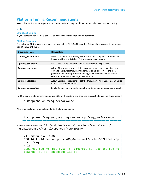# <span id="page-9-0"></span>**Platform Tuning Recommendations**

**NOTE:** This section includes general recommendations. They should be applied only after sufficient testing.

## <span id="page-9-1"></span>**CPU**

#### <span id="page-9-2"></span>**CPU BIOS Settings**

In your compute nodes' BIOS, set CPU to Performance mode for best performance.

#### <span id="page-9-3"></span>**CPUfreq Governor**

The following CPUfreq governor types are available in RHEL 6. (Check other OS-specific governors if you are not using CentOS or RHEL 6).

| <b>Governor Type</b> | <b>Description</b>                                                                                                                                                                                                                                                   |
|----------------------|----------------------------------------------------------------------------------------------------------------------------------------------------------------------------------------------------------------------------------------------------------------------|
| cpufreq_performance  | Forces the CPU to use the highest possible clock frequency. Intended for<br>heavy workloads, this is best fit for interactive workloads.                                                                                                                             |
| Cpufreg powersave    | Forces the CPU to stay at the lowest clock frequency possible.                                                                                                                                                                                                       |
| Cpufreq_ondemand     | Allows CPU frequency to scale to maximum under heavy load, but drop<br>down to the lowest frequency under light or no load. This is the ideal<br>governor and, after appropriate testing, can be used to reduce power<br>consumption under low load/idle conditions. |
| Cpufreg userspace    | Allows userspace programs to set the frequency. This is used in conjunction<br>with the cpuspeed daemon.                                                                                                                                                             |
| Cpufreg conservative | Similar to the cpufreq ondemand, but switches frequencies more gradually.                                                                                                                                                                                            |

Find the appropriate kernel modules available on the system, and then use modprobe to add the driver needed:

# modprobe cpufreq performance

After a particular governor is loaded into the kernel, enable it:

# cpupower frequency-set –governor cpufreq\_performance

Available drivers are in the /lib/modules/<kernelversion>/kernel/arch/ <architecture>/kernel/cpu/cpufreq/ directory:

```
/lib/modules/2.6.32-
358.14.1.el6.centos.plus.x86_64/kernel/arch/x86/kernel/cp
u/cpufreq
# ls
acpi-cpufreq.ko mperf.ko p4-clockmod.ko pcc-cpufreq.ko 
powernow-k8.ko speedstep-lib.ko
```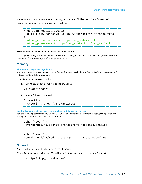If the required cpufreq drivers are not available, get them from  $\int$ lib/modules/<kernel version>/kernel/drivers/cpufreq:

```
# cd /lib/modules/2.6.32-
358.14.1.el6.centos.plus.x86_64/kernel/drivers/cpufreq
# ls
cpufreq_conservative.ko cpufreq_ondemand.ko 
cpufreq_powersave.ko cpufreq_stats.ko freq_table.ko
```
**NOTE:** Use the uname –r command to see the kernel version.

The cpupower utility is provided by the cpupowerutils package. If you have not installed it, you can set the tunables in /sys/devices/system/cpu/<cpu id>/cpufreq/.

#### <span id="page-10-0"></span>**Memory**

#### <span id="page-10-1"></span>**Minimize Anonymous Page Faults**

Minimize anonymous page faults, thereby freeing from page cache before "swapping" application pages. (This reduces the OOM-killer invocation.)

To minimize anonymous page faults:

1. Edit /etc/sysctl.conf to add following line:

vm.swappiness=1

2. Run the following command:

```
# sysctl –p
# sysctl –a|grep "vm.swappiness"
```
#### <span id="page-10-2"></span>**Disable Transparent Hugepage Compaction and Defragmentation**

Add the following commands to  $/etc/rc$ .  $local$  to ensure that transparent hugepage compaction and defragmentation remain disabled across reboots:

echo "never" > /sys/kernel/mm/redhat\_transparent\_hugepage/enabled

```
echo "never" > 
/sys/kernel/mm/redhat_transparent_hugepage/defrag
```
#### <span id="page-10-3"></span>**Network**

Add the following parameters to /etc/sysctl.conf.

Disable TCP timestamps to improve CPU utilization (optional and depends on your NIC vendor):

```
net.ipv4.tcp_timestamps=0
```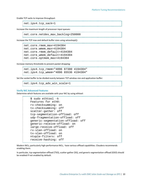Enable TCP sacks to improve throughput:

net.ipv4.tcp\_sack=1

Increase the maximum length of processor input queues:

net.core.netdev\_max\_backlog=250000

Increase the TCP max and default buffer sizes using setsockopt():

net.core.rmem\_max=4194304 net.core.wmem\_max=4194304 net.core.rmem\_default=4194304 net.core\_wmem\_default=4194304 net.core.optmem\_max=4194304

Increase memory thresholds to prevent packet dropping:

net.ipv4.tcp\_rmem="4096 87380 4194304" net.ipv4.tcp\_wmem="4096 65536 4194304"

Set the socket buffer to be divided evenly between TCP window size and application buffer:

net.ipv4.tcp\_adv\_win\_scale=1

#### <span id="page-12-0"></span>**Verify NIC Advanced Features**

Determine which features are available with your NIC by using ethtool:

```
$ sudo ethtool -k
Features for eth0:
rx-checksumming: on
tx-checksumming: off
scatter-gather: off
tcp-segmentation-offload: off
udp-fragmentation-offload: off
generic-segmentation-offload: off
generic-receive-offload: on
large-receive-offload: off
rx-vlan-offload: on
tx-vlan-offload: on
ntuple-filters: off
receive-hashing: off
```
Modern NICs, particularly high-performance NICs, have various offload capabilities. Cloudera recommends enabling them.

In particular, tcp-segmentation-offload (TSO), scatter-gather (SG), and generic-segmentation-offload (GSO) should be enabled if not enabled by default.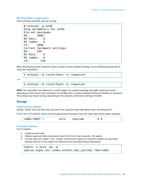#### <span id="page-13-0"></span>**NIC Ring Buffer Configurations**

Check existing ring buffer sizes by running:

```
$ ethtool -g eth0
Ring parameters for eth0:
Pre-set maximums:<br>RX: 4096
RX:RX Mini: 0
RX Jumbo: 0
TX: 4096
Current hardware settings:<br>RX: 256
RX:RX Mini: 0<br>RX Jumbo: 0
RX Jumbo:
TX: 256
```
After checking the preset maximum values and the current hardware settings, use the following commands to resize the ring buffers:

```
# ethtool –G <interface> rx <newsize>
- or -
    # ethtool –G <interface> tx <newsize>
```
**NOTE:** The ring buffer sizes depend to a certain degree on network topology and might need to be tuned, depending on the nature of the workload. For 10 Gbps NICs, consider setting the RX and TX buffers to maximum. This setting may require tuning, depending on the network architecture and type of traffic.

#### <span id="page-13-1"></span>**Storage**

#### <span id="page-13-2"></span>**Disk/FS Mount Options**

Disable "atime" from the data disks and root FS by using the noatime option when mounting the FS.

In the /etc/fstab file, ensure that the appropriate filesystems have the noatime mount option specified:

| LABEL=ROOT | $ext{4}$ | noatime |  |
|------------|----------|---------|--|
|            |          |         |  |

#### <span id="page-13-3"></span>**FS Creation Options**

For FS creation:

- Enable journal mode
- Reduce superuser block reservation from 5% to 1% for root, using the -m1 option
- Use the sparse\_super, dir\_index, and extent options to minimize number of super block backups and use b-tree indexes for directory trees and extent-based allocations)

```
# mkfs -t ext4 -m1 -0sparse_super,dir_index,extent,has_journal /dev/sdb1
```